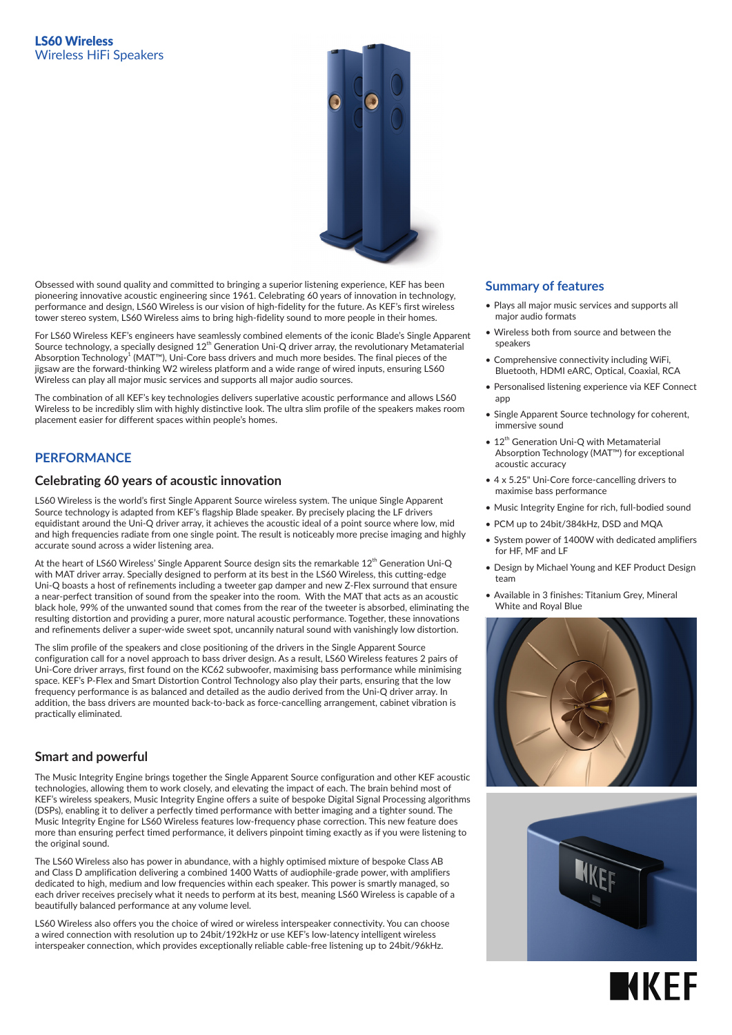

Obsessed with sound quality and committed to bringing a superior listening experience, KEF has been pioneering innovative acoustic engineering since 1961. Celebrating 60 years of innovation in technology, performance and design, LS60 Wireless is our vision of high-fidelity for the future. As KEF's first wireless tower stereo system, LS60 Wireless aims to bring high-fidelity sound to more people in their homes.

For LS60 Wireless KEF's engineers have seamlessly combined elements of the iconic Blade's Single Apparent Source technology, a specially designed 12<sup>th</sup> Generation Uni-Q driver array, the revolutionary Metamaterial Absorption Technology $^1$  (MAT™), Uni-Core bass drivers and much more besides. The final pieces of the jigsaw are the forward-thinking W2 wireless platform and a wide range of wired inputs, ensuring LS60 Wireless can play all major music services and supports all major audio sources.

The combination of all KEF's key technologies delivers superlative acoustic performance and allows LS60 Wireless to be incredibly slim with highly distinctive look. The ultra slim profile of the speakers makes room placement easier for different spaces within people's homes.

## **PERFORMANCE**

### **Celebrating 60 years of acoustic innovation**

LS60 Wireless is the world's first Single Apparent Source wireless system. The unique Single Apparent Source technology is adapted from KEF's flagship Blade speaker. By precisely placing the LF drivers equidistant around the Uni-Q driver array, it achieves the acoustic ideal of a point source where low, mid and high frequencies radiate from one single point. The result is noticeably more precise imaging and highly accurate sound across a wider listening area.

At the heart of LS60 Wireless' Single Apparent Source design sits the remarkable 12<sup>th</sup> Generation Uni-Q with MAT driver array. Specially designed to perform at its best in the LS60 Wireless, this cutting-edge Uni-Q boasts a host of refinements including a tweeter gap damper and new Z-Flex surround that ensure a near-perfect transition of sound from the speaker into the room. With the MAT that acts as an acoustic black hole, 99% of the unwanted sound that comes from the rear of the tweeter is absorbed, eliminating the resulting distortion and providing a purer, more natural acoustic performance. Together, these innovations and refinements deliver a super-wide sweet spot, uncannily natural sound with vanishingly low distortion.

The slim profile of the speakers and close positioning of the drivers in the Single Apparent Source configuration call for a novel approach to bass driver design. As a result, LS60 Wireless features 2 pairs of Uni-Core driver arrays, first found on the KC62 subwoofer, maximising bass performance while minimising space. KEF's P-Flex and Smart Distortion Control Technology also play their parts, ensuring that the low frequency performance is as balanced and detailed as the audio derived from the Uni-Q driver array. In addition, the bass drivers are mounted back-to-back as force-cancelling arrangement, cabinet vibration is practically eliminated.

### **Smart and powerful**

The Music Integrity Engine brings together the Single Apparent Source configuration and other KEF acoustic technologies, allowing them to work closely, and elevating the impact of each. The brain behind most of KEF's wireless speakers, Music Integrity Engine offers a suite of bespoke Digital Signal Processing algorithms (DSPs), enabling it to deliver a perfectly timed performance with better imaging and a tighter sound. The Music Integrity Engine for LS60 Wireless features low-frequency phase correction. This new feature does more than ensuring perfect timed performance, it delivers pinpoint timing exactly as if you were listening to the original sound.

The LS60 Wireless also has power in abundance, with a highly optimised mixture of bespoke Class AB and Class D amplification delivering a combined 1400 Watts of audiophile-grade power, with amplifiers dedicated to high, medium and low frequencies within each speaker. This power is smartly managed, so each driver receives precisely what it needs to perform at its best, meaning LS60 Wireless is capable of a beautifully balanced performance at any volume level.

LS60 Wireless also offers you the choice of wired or wireless interspeaker connectivity. You can choose a wired connection with resolution up to 24bit/192kHz or use KEF's low-latency intelligent wireless interspeaker connection, which provides exceptionally reliable cable-free listening up to 24bit/96kHz.

#### **Summary of features**

- Plays all major music services and supports all major audio formats
- Wireless both from source and between the speakers
- Comprehensive connectivity including WiFi, Bluetooth, HDMI eARC, Optical, Coaxial, RCA
- Personalised listening experience via KEF Connect app
- Single Apparent Source technology for coherent, immersive sound
- 12<sup>th</sup> Generation Uni-Q with Metamaterial Absorption Technology (MAT™) for exceptional acoustic accuracy
- 4 x 5.25" Uni-Core force-cancelling drivers to maximise bass performance
- Music Integrity Engine for rich, full-bodied sound
- PCM up to 24bit/384kHz, DSD and MQA
- System power of 1400W with dedicated amplifiers for HF, MF and LF
- Design by Michael Young and KEF Product Design team
- Available in 3 finishes: Titanium Grey, Mineral White and Royal Blue





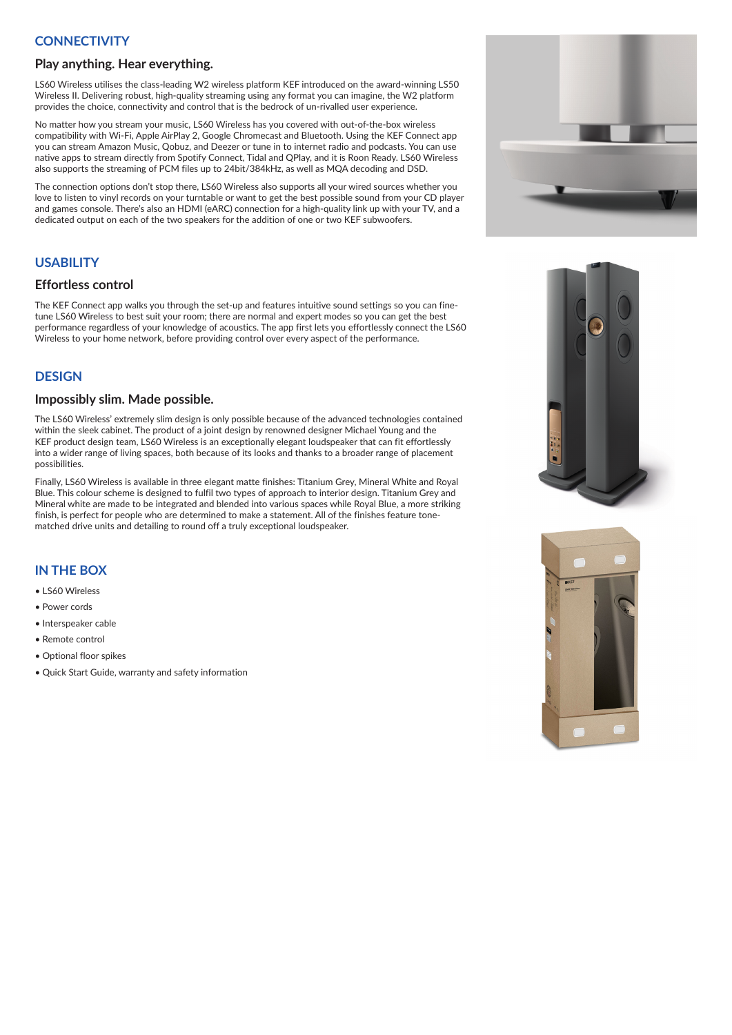# **CONNECTIVITY**

#### **Play anything. Hear everything.**

LS60 Wireless utilises the class-leading W2 wireless platform KEF introduced on the award-winning LS50 Wireless II. Delivering robust, high-quality streaming using any format you can imagine, the W2 platform provides the choice, connectivity and control that is the bedrock of un-rivalled user experience.

No matter how you stream your music, LS60 Wireless has you covered with out-of-the-box wireless compatibility with Wi-Fi, Apple AirPlay 2, Google Chromecast and Bluetooth. Using the KEF Connect app you can stream Amazon Music, Qobuz, and Deezer or tune in to internet radio and podcasts. You can use native apps to stream directly from Spotify Connect, Tidal and QPlay, and it is Roon Ready. LS60 Wireless also supports the streaming of PCM files up to 24bit/384kHz, as well as MQA decoding and DSD.

The connection options don't stop there, LS60 Wireless also supports all your wired sources whether you love to listen to vinyl records on your turntable or want to get the best possible sound from your CD player and games console. There's also an HDMI (eARC) connection for a high-quality link up with your TV, and a dedicated output on each of the two speakers for the addition of one or two KEF subwoofers.

## **USABILITY**

### **Effortless control**

The KEF Connect app walks you through the set-up and features intuitive sound settings so you can finetune LS60 Wireless to best suit your room; there are normal and expert modes so you can get the best performance regardless of your knowledge of acoustics. The app first lets you effortlessly connect the LS60 Wireless to your home network, before providing control over every aspect of the performance.

### **DESIGN**

#### **Impossibly slim. Made possible.**

The LS60 Wireless' extremely slim design is only possible because of the advanced technologies contained within the sleek cabinet. The product of a joint design by renowned designer Michael Young and the KEF product design team, LS60 Wireless is an exceptionally elegant loudspeaker that can fit effortlessly into a wider range of living spaces, both because of its looks and thanks to a broader range of placement possibilities.

Finally, LS60 Wireless is available in three elegant matte finishes: Titanium Grey, Mineral White and Royal Blue. This colour scheme is designed to fulfil two types of approach to interior design. Titanium Grey and Mineral white are made to be integrated and blended into various spaces while Royal Blue, a more striking finish, is perfect for people who are determined to make a statement. All of the finishes feature tonematched drive units and detailing to round off a truly exceptional loudspeaker.

## **IN THE BOX**

- LS60 Wireless
- Power cords
- Interspeaker cable
- Remote control
- Optional floor spikes
- Quick Start Guide, warranty and safety information